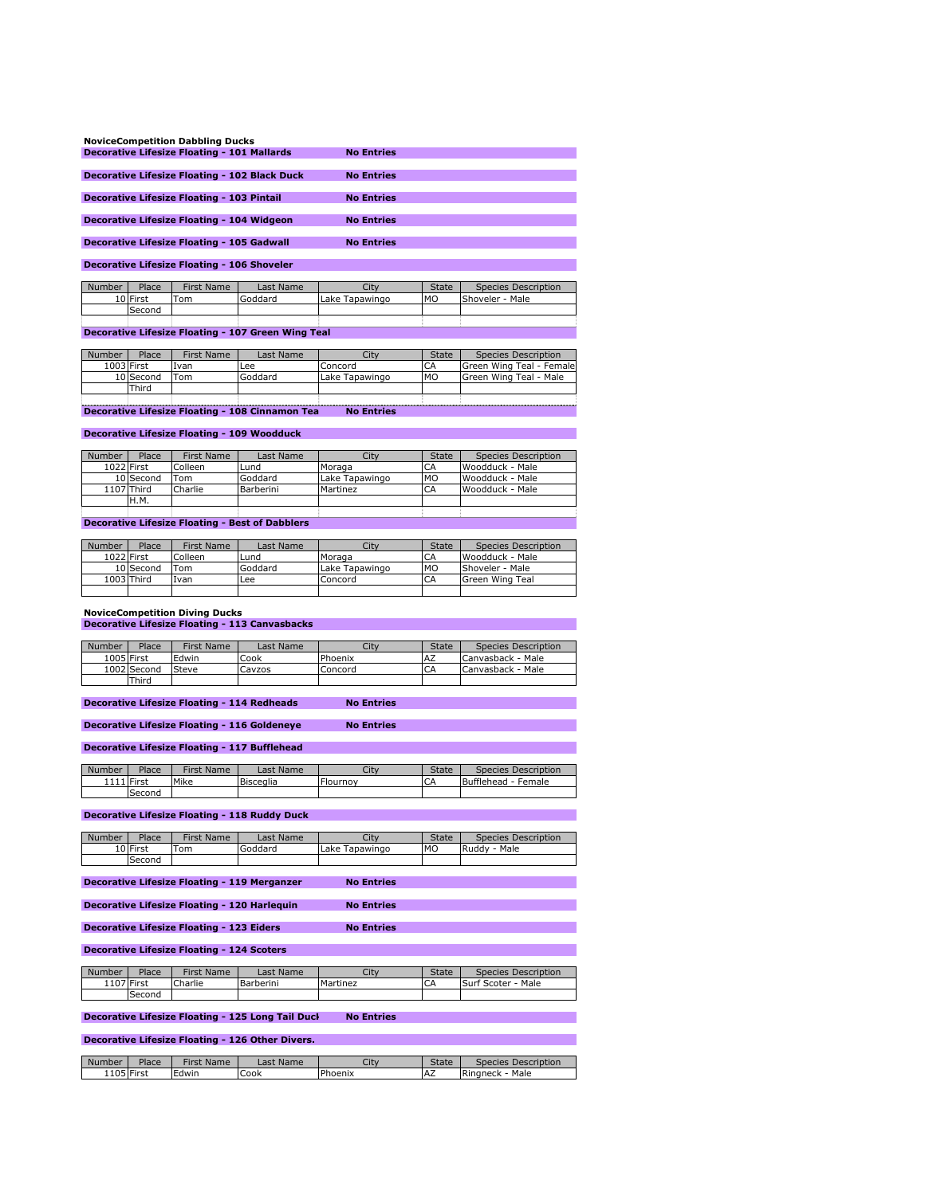| <b>NoviceCompetition Dabbling Ducks</b>              |                   |
|------------------------------------------------------|-------------------|
| <b>Decorative Lifesize Floating - 101 Mallards</b>   | <b>No Entries</b> |
|                                                      |                   |
| <b>Decorative Lifesize Floating - 102 Black Duck</b> | <b>No Entries</b> |
|                                                      |                   |
| <b>Decorative Lifesize Floating 103 Pintail</b>      | <b>No Entries</b> |
|                                                      |                   |
| <b>Decorative Lifesize Floating - 104 Widgeon</b>    | <b>No Entries</b> |
|                                                      |                   |
| <b>Decorative Lifesize Floating - 105 Gadwall</b>    | <b>No Entries</b> |
|                                                      |                   |

**Decorative Lifesize Floating - 106 Shoveler**

| Number | Place    | First Name | Last Name | Citv           | <b>State</b> | Species Description |
|--------|----------|------------|-----------|----------------|--------------|---------------------|
|        | 10 First | Tom        | Goddard   | Lake Tapawingo | <b>MO</b>    | Shoveler - Male     |
|        | Second   |            |           |                |              |                     |
|        |          |            |           |                |              |                     |

**Decorative Lifesize Floating - 107 Green Wing Teal**

| Number | Place                                                                | First Name | Last Name | Citv           | <b>State</b> | Species Description            |  |  |
|--------|----------------------------------------------------------------------|------------|-----------|----------------|--------------|--------------------------------|--|--|
|        | 1003 First                                                           | Ivan       | Lee       | Concord        | CA           | Green Wing Teal - Female       |  |  |
|        | 10 Second                                                            | Tom        | Goddard   | Lake Tapawingo | <b>MO</b>    | <b>IGreen Wing Teal - Male</b> |  |  |
|        | Third                                                                |            |           |                |              |                                |  |  |
|        |                                                                      |            |           |                |              |                                |  |  |
|        | Decorative Lifesize Floating - 108 Cinnamon Tea<br><b>No Entries</b> |            |           |                |              |                                |  |  |

**Decorative Lifesize Floating - 109 Woodduck**

| Number     | Place      | First Name | Last Name | City           | <b>State</b> | Species Description |
|------------|------------|------------|-----------|----------------|--------------|---------------------|
| 1022 First |            | Colleen    | Lund      | Moraga         | CA           | Woodduck - Male     |
|            | 10 Second  | Tom        | Goddard   | Lake Tapawingo | <b>MO</b>    | Woodduck - Male     |
|            | 1107 Third | Charlie    | Barberini | Martinez       | CA           | Woodduck - Male     |
|            | H.M.       |            |           |                |              |                     |
|            |            |            |           |                |              |                     |

**Decorative Lifesize Floating - Best of Dabblers**

| Number     | Place        | First Name | Last Name | City           | <b>State</b> | Species Description |
|------------|--------------|------------|-----------|----------------|--------------|---------------------|
| 1022 First |              | Colleen    | _und      | Moraga         | CA           | Woodduck - Male     |
|            | 10 Second    | Tom        | Goddard   | Lake Tapawingo | <b>MO</b>    | Shoveler - Male     |
|            | $1003$ Third | Ivan       | Lee       | Concord        | CA           | Green Wing Teal     |
|            |              |            |           |                |              |                     |

#### **NoviceCompetition Diving Ducks Decorative Lifesize Floating - 113 Canvasbacks**

| Number     | Place       | First Name | Last Name | City    | <b>State</b> | Species Description |
|------------|-------------|------------|-----------|---------|--------------|---------------------|
| 1005 First |             | Edwin      | Cook      | Phoenix | <b>AZ</b>    | Canvasback - Male   |
|            | 1002 Second | Steve      | Cayzos    | Concord | CA           | Canvasback - Male   |
|            | Third       |            |           |         |              |                     |

**Decorative Lifesize Floating - 114 Redheads No Entries**

**Decorative Lifesize Floating - 116 Goldeneye No Entries** 

**Decorative Lifesize Floating - 117 Bufflehead**

| Mike<br>1111 First<br>Flournov<br>Bufflehead -<br>CA<br>Bisceglia<br>Female<br>Second | Number | Place | First Name | Last Name | City | <b>State</b> | Species Description |
|---------------------------------------------------------------------------------------|--------|-------|------------|-----------|------|--------------|---------------------|
|                                                                                       |        |       |            |           |      |              |                     |
|                                                                                       |        |       |            |           |      |              |                     |

**Decorative Lifesize Floating - 118 Ruddy Duck**

| Number | Place    | First Name | Last Name | City           | <b>State</b> | Species Description |
|--------|----------|------------|-----------|----------------|--------------|---------------------|
|        | 10 First | ™om        | Goddard   | Lake Tapawingo | <b>MO</b>    | Ruddy - Male        |
|        | Second   |            |           |                |              |                     |
|        |          |            |           |                |              |                     |

**Decorative Lifesize Floating - 119 Merganzer No Entries**

```
Decorative Lifesize Floating - 120 Harlequin No Entries
```
**Decorative Lifesize Floating - 123 Eiders Mo Entries** 

**Decorative Lifesize Floating - 124 Scoters**

| Number | Place      | <b>First Name</b> | Last Name | City     | <b>State</b> | Species Description |
|--------|------------|-------------------|-----------|----------|--------------|---------------------|
|        | 1107 First | Charlie           | Barberini | Martinez | CA           | Surf Scoter - Male  |
|        | Second     |                   |           |          |              |                     |

### **Decorative Lifesize Floating - 125 Long Tail Duck No Entries**

**Decorative Lifesize Floating - 126 Other Divers.**

| Number | Place      | <b>First</b><br>Name | Last Name | City    | <b>State</b> | Species Description |
|--------|------------|----------------------|-----------|---------|--------------|---------------------|
|        | 1105 First | Edwin                | Cook      | Phoenix | IAZ.         | Male<br>Ringneck    |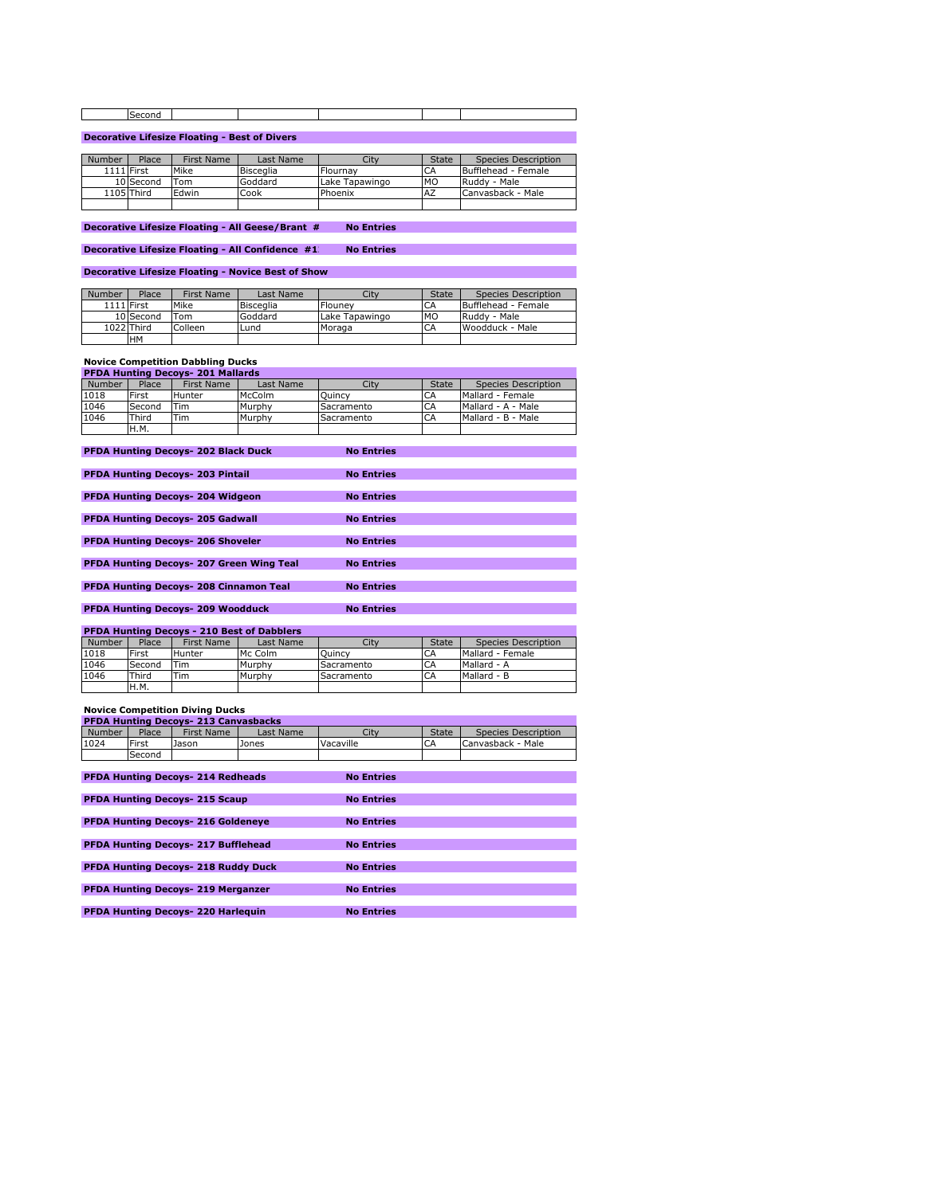| -ocor<br>:onc |  |  |  |
|---------------|--|--|--|
|               |  |  |  |

# **Decorative Lifesize Floating - Best of Divers**

| Number            | Place        | First Name | Last Name        | City           | <b>State</b> | Species Description |
|-------------------|--------------|------------|------------------|----------------|--------------|---------------------|
| <b>1111 First</b> |              | Mike       | <b>Bisceglia</b> | Flournav       | CA           | Bufflehead - Female |
|                   | 10 Second    | $T$ om     | Goddard          | Lake Tanawingo | <b>MO</b>    | Ruddy - Male        |
|                   | $1105$ Third | Edwin      | Cook             | Phoenix        | <b>AZ</b>    | Canvasback - Male   |
|                   |              |            |                  |                |              |                     |

**Decorative Lifesize Floating - All Geese/Brant # No Entries** 

**Decorative Lifesize Floating - All Confidence #1 No Entries** 

**Decorative Lifesize Floating - Novice Best of Show**

| Number | Place             | First Name | Last Name        | City           | <b>State</b> | Species Description |
|--------|-------------------|------------|------------------|----------------|--------------|---------------------|
|        | <b>1111 First</b> | Mike       | <b>Bisceglia</b> | Flounev        | CA           | Bufflehead - Female |
|        | 10 Second         | Tom        | Goddard          | Lake Tapawingo | <b>MO</b>    | Ruddy - Male        |
|        | 1022 Third        | Colleen    | Lund             | Moraga         | CA           | Woodduck - Male     |
|        | <b>HM</b>         |            |                  |                |              |                     |

## **Novice Competition Dabbling Ducks**

| <b>PFDA Hunting Decovs-201 Mallards</b> |              |            |           |            |              |                     |  |
|-----------------------------------------|--------------|------------|-----------|------------|--------------|---------------------|--|
| Number                                  | <b>Place</b> | First Name | Last Name | City       | <b>State</b> | Species Description |  |
| 1018                                    | First        | Hunter     | McColm    | Ouincy     | CA           | Mallard - Female    |  |
| 1046                                    | Second       | Tim        | Murphy    | Sacramento | CA           | Mallard - A - Male  |  |
| 1046                                    | Third        | 'Tim       | Murphy    | Sacramento | CA           | Mallard - B - Male  |  |
|                                         | H.M.         |            |           |            |              |                     |  |
|                                         |              |            |           |            |              |                     |  |

| <b>PFDA Hunting Decovs- 202 Black Duck</b>      | <b>No Entries</b> |
|-------------------------------------------------|-------------------|
|                                                 |                   |
| <b>PFDA Hunting Decovs- 203 Pintail</b>         | <b>No Entries</b> |
|                                                 |                   |
| <b>PFDA Hunting Decoys- 204 Widgeon</b>         | <b>No Entries</b> |
|                                                 |                   |
| <b>PFDA Hunting Decoys- 205 Gadwall</b>         | <b>No Entries</b> |
|                                                 |                   |
| <b>PFDA Hunting Decovs- 206 Shoveler</b>        | <b>No Entries</b> |
|                                                 |                   |
| <b>PFDA Hunting Decovs- 207 Green Wing Teal</b> | <b>No Entries</b> |
|                                                 |                   |
| <b>PFDA Hunting Decovs- 208 Cinnamon Teal</b>   | <b>No Entries</b> |
|                                                 |                   |
| <b>PFDA Hunting Decovs-209 Woodduck</b>         | <b>No Entries</b> |

| <b>PFDA Hunting Decoys - 210 Best of Dabblers</b> |              |               |           |            |              |                     |  |  |
|---------------------------------------------------|--------------|---------------|-----------|------------|--------------|---------------------|--|--|
| Number                                            | Place        | First Name    | Last Name | City       | <b>State</b> | Species Description |  |  |
| 1018                                              | First        | <b>Hunter</b> | Mc Colm   | Ouincy     | CA           | Mallard - Female    |  |  |
| 1046                                              | Second       | Tim           | Murphy    | Sacramento | CA           | Mallard - A         |  |  |
| 1046                                              | <b>Third</b> | Tim           | Murphy    | Sacramento | CA           | Mallard - B         |  |  |
|                                                   | H.M.         |               |           |            |              |                     |  |  |

### **Novice Competition Diving Ducks**

| <b>PFDA Hunting Decovs - 213 Canvasbacks</b> |        |                   |           |           |              |                     |  |
|----------------------------------------------|--------|-------------------|-----------|-----------|--------------|---------------------|--|
| <b>Number</b>                                | Place  | <b>First Name</b> | Last Name | Citv      | <b>State</b> | Species Description |  |
| 1024                                         | First  | Jason             | Jones     | Vacaville | CΑ           | Canvasback - Male   |  |
|                                              | Second |                   |           |           |              |                     |  |

| <b>PFDA Hunting Decoys- 214 Redheads</b>   | <b>No Entries</b> |
|--------------------------------------------|-------------------|
|                                            |                   |
| <b>PFDA Hunting Decoys- 215 Scaup</b>      | <b>No Entries</b> |
|                                            |                   |
| <b>PFDA Hunting Decoys- 216 Goldeneye</b>  | <b>No Entries</b> |
|                                            |                   |
| PFDA Hunting Decoys- 217 Bufflehead        | <b>No Entries</b> |
|                                            |                   |
| <b>PFDA Hunting Decoys- 218 Ruddy Duck</b> | <b>No Entries</b> |
|                                            |                   |
| <b>PFDA Hunting Decoys- 219 Merganzer</b>  | <b>No Entries</b> |
|                                            |                   |
| <b>PFDA Hunting Decoys- 220 Harleguin</b>  | <b>No Entries</b> |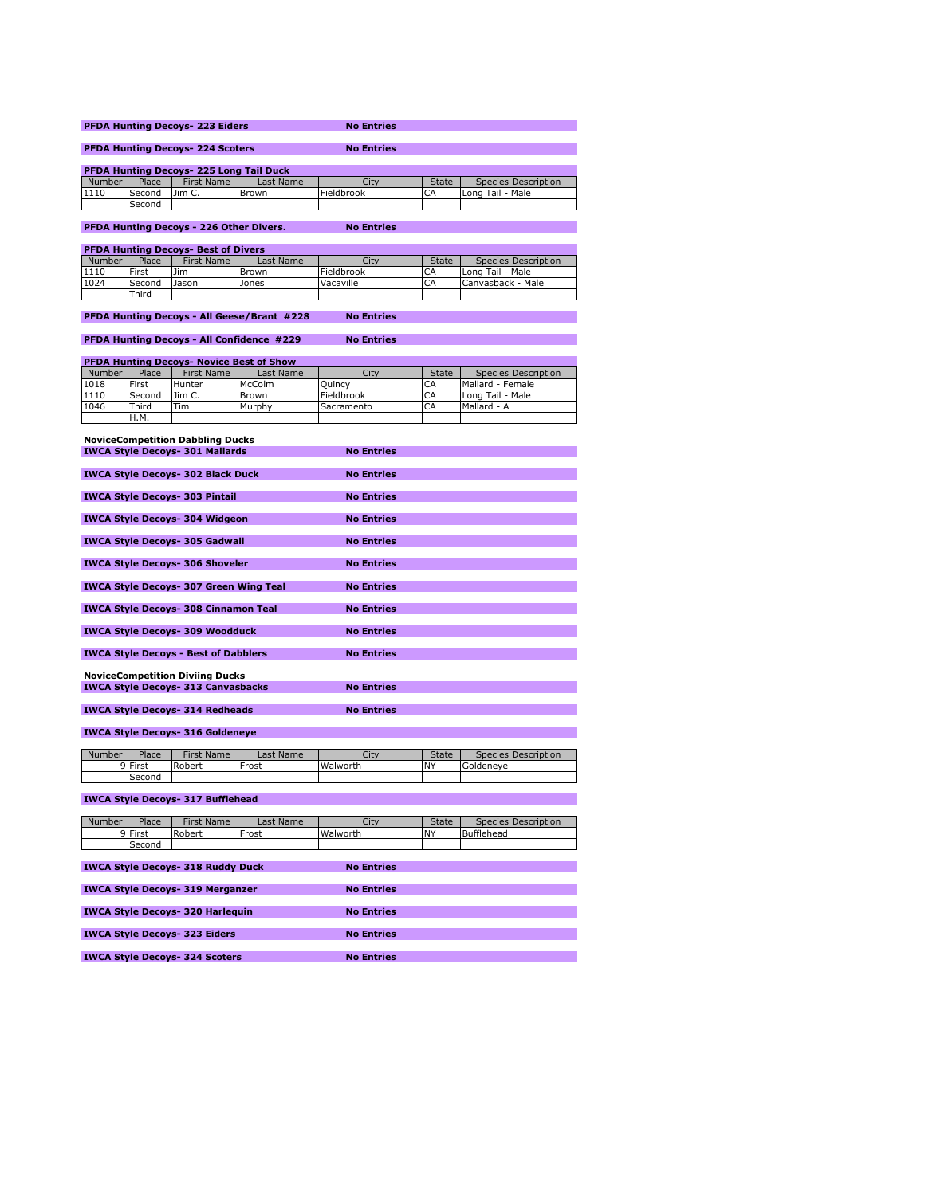| <b>PFDA Hunting Decovs-223 Eiders</b>          | <b>No Entries</b> |
|------------------------------------------------|-------------------|
|                                                |                   |
| <b>PFDA Hunting Decovs-224 Scoters</b>         | <b>No Entries</b> |
|                                                |                   |
| <b>PFDA Hunting Decoys- 225 Long Tail Duck</b> |                   |

**PFDA Hunting Decoys- 225 Long Tail Duck**<br>Number Place First Name Last Name City State Species Description<br>1110 Second Jim C. Brown Fieldbrook CA Long Tail - Male Second

**PFDA Hunting Decoys - 226 Other Divers. No Entries**

**PFDA Hunting Decoys- Best of Divers**

| Number | Place  | First Name | Last Name | City       | <b>State</b> | Species Description |  |  |
|--------|--------|------------|-----------|------------|--------------|---------------------|--|--|
| 1110   | First  | <b>Jim</b> | Brown     | Fieldbrook | <b>CA</b>    | Long Tail - Male    |  |  |
| 1024   | Second | Jason      | Jones     | Vacaville  | <b>CA</b>    | Canvasback - Male   |  |  |
|        | Third  |            |           |            |              |                     |  |  |

# **PFDA Hunting Decoys - All Geese/Brant #228 No Entries**

**PFDA Hunting Decoys - All Confidence #229 No Entries**

| <b>PFDA Hunting Decoys- Novice Best of Show</b> |             |            |              |            |              |                     |  |
|-------------------------------------------------|-------------|------------|--------------|------------|--------------|---------------------|--|
| Number                                          | Place       | First Name | Last Name    | City       | <b>State</b> | Species Description |  |
| 1018                                            | First       | Hunter     | McColm       | Ouincy     | CA           | Mallard - Female    |  |
| 1110                                            | Second      | lim C.     | <b>Brown</b> | Fieldbrook | CA           | Long Tail - Male    |  |
| 1046                                            | Third       | Tim        | Murphy       | Sacramento | CA           | Mallard - A         |  |
|                                                 | <b>H.M.</b> |            |              |            |              |                     |  |

| <b>NoviceCompetition Dabbling Ducks</b>                                             |                   |
|-------------------------------------------------------------------------------------|-------------------|
| <b>IWCA Style Decoys- 301 Mallards</b>                                              | <b>No Entries</b> |
|                                                                                     |                   |
| <b>IWCA Style Decoys- 302 Black Duck</b>                                            | <b>No Entries</b> |
|                                                                                     |                   |
| <b>IWCA Style Decoys-303 Pintail</b>                                                | <b>No Entries</b> |
|                                                                                     |                   |
| <b>IWCA Style Decoys- 304 Widgeon</b>                                               | <b>No Entries</b> |
| <b>IWCA Style Decoys- 305 Gadwall</b>                                               | <b>No Entries</b> |
|                                                                                     |                   |
| <b>IWCA Style Decoys- 306 Shoveler</b>                                              | <b>No Entries</b> |
|                                                                                     |                   |
| <b>IWCA Style Decoys- 307 Green Wing Teal</b>                                       | <b>No Entries</b> |
|                                                                                     |                   |
| <b>IWCA Style Decoys- 308 Cinnamon Teal</b>                                         | <b>No Entries</b> |
|                                                                                     |                   |
| <b>IWCA Style Decoys- 309 Woodduck</b>                                              | <b>No Entries</b> |
|                                                                                     |                   |
| <b>IWCA Style Decoys - Best of Dabblers</b>                                         | <b>No Entries</b> |
|                                                                                     |                   |
| <b>NoviceCompetition Diviing Ducks</b><br><b>IWCA Style Decoys- 313 Canvasbacks</b> | <b>No Entries</b> |
|                                                                                     |                   |
| <b>IWCA Style Decoys- 314 Redheads</b>                                              | <b>No Entries</b> |
|                                                                                     |                   |
|                                                                                     |                   |

# **IWCA Style Decoys- 316 Goldeneye**

| Number | Place   | First Name | ast Name | City     | <b>State</b> | Species Description |
|--------|---------|------------|----------|----------|--------------|---------------------|
|        | 9 First | Robert     | Frost    | Walworth | <b>NY</b>    | Goldeneve           |
|        | Second  |            |          |          |              |                     |

# **IWCA Style Decoys- 317 Bufflehead**

| Number | Place   | <b>First Name</b>                        | Last Name | City              | <b>State</b> | Species Description |
|--------|---------|------------------------------------------|-----------|-------------------|--------------|---------------------|
|        | 9 First | Robert                                   | Frost     | Walworth          | <b>NY</b>    | Bufflehead          |
|        | Second  |                                          |           |                   |              |                     |
|        |         |                                          |           |                   |              |                     |
|        |         | <b>IWCA Style Decoys- 318 Ruddy Duck</b> |           | <b>No Entries</b> |              |                     |
|        |         |                                          |           |                   |              |                     |
|        |         | <b>IWCA Style Decoys- 319 Merganzer</b>  |           | <b>No Entries</b> |              |                     |
|        |         |                                          |           |                   |              |                     |
|        |         | <b>IWCA Style Decovs-320 Harlequin</b>   |           | <b>No Entries</b> |              |                     |
|        |         |                                          |           |                   |              |                     |
|        |         | <b>IWCA Style Decoys- 323 Eiders</b>     |           | <b>No Entries</b> |              |                     |
|        |         |                                          |           |                   |              |                     |
|        |         | <b>IWCA Style Decoys- 324 Scoters</b>    |           | <b>No Entries</b> |              |                     |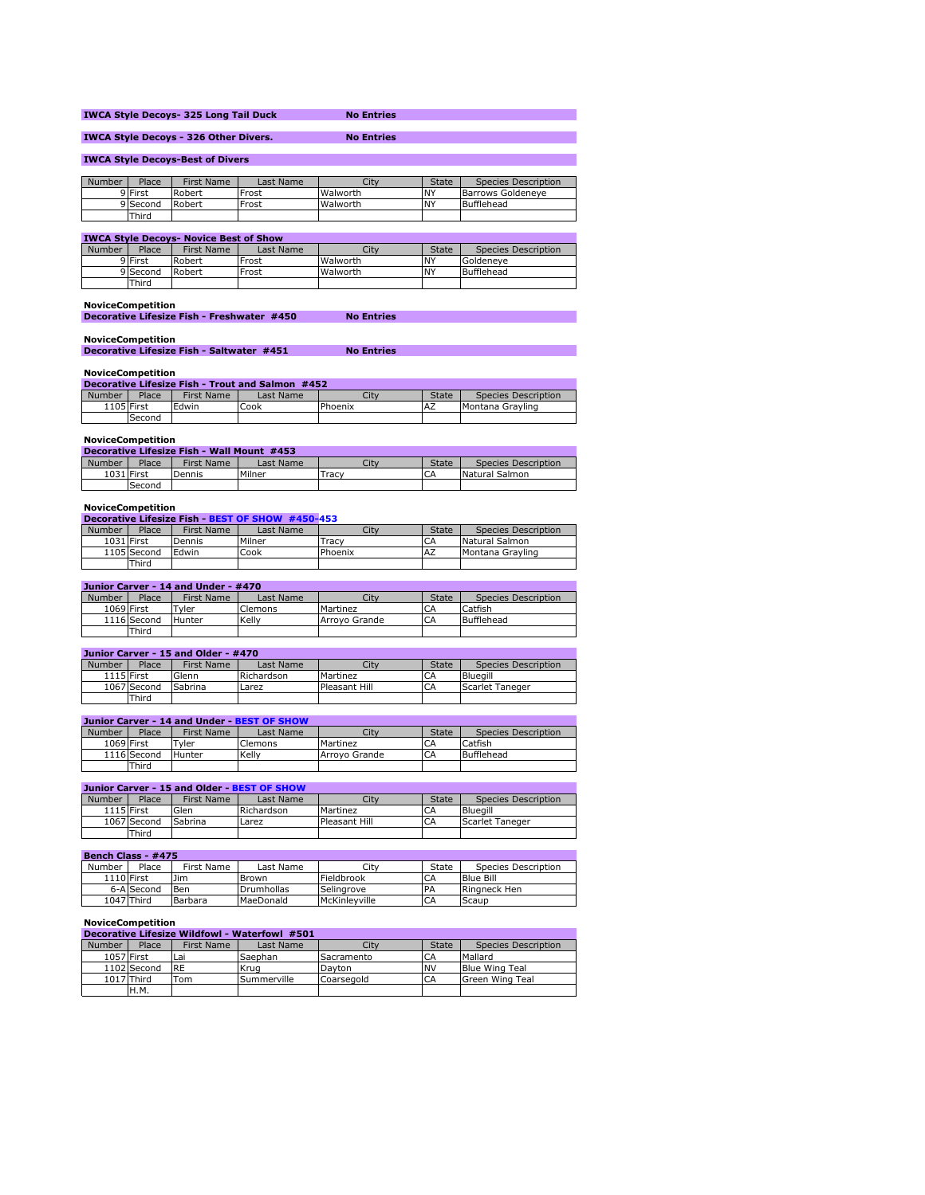|                                                                   |         | <b>IWCA Style Decoys-325 Long Tail Duck</b> |           | <b>No Entries</b> |              |                     |  |  |  |
|-------------------------------------------------------------------|---------|---------------------------------------------|-----------|-------------------|--------------|---------------------|--|--|--|
| <b>IWCA Style Decoys - 326 Other Divers.</b><br><b>No Entries</b> |         |                                             |           |                   |              |                     |  |  |  |
| <b>IWCA Style Decoys-Best of Divers</b>                           |         |                                             |           |                   |              |                     |  |  |  |
|                                                                   |         |                                             |           |                   |              |                     |  |  |  |
| Number                                                            | Place   | First Name                                  | Last Name | City              | <b>State</b> | Species Description |  |  |  |
|                                                                   | 9 First | Robert                                      | Frost     | Walworth          | <b>NY</b>    | Barrows Goldeneve   |  |  |  |
|                                                                   |         |                                             |           |                   |              |                     |  |  |  |

|                                               | 9 Second | Robert     | Frost     | Walworth | ۱NY          | Bufflehead          |  |  |
|-----------------------------------------------|----------|------------|-----------|----------|--------------|---------------------|--|--|
|                                               | Third    |            |           |          |              |                     |  |  |
|                                               |          |            |           |          |              |                     |  |  |
| <b>IWCA Style Decovs- Novice Best of Show</b> |          |            |           |          |              |                     |  |  |
| Number                                        | Place    | First Name | Last Name | City     | <b>State</b> | Species Description |  |  |

|          |        | -------------- | ___      | -------    | ------                                |
|----------|--------|----------------|----------|------------|---------------------------------------|
| 9 First  | Robert | Frost          | Walworth | İNV<br>. . | $\overline{\phantom{0}}$<br>Goldeneve |
| 9 Second | Robert | Frost          | Walworth | <b>NY</b>  | Bufflehead                            |
| Third    |        |                |          |            |                                       |
|          |        |                |          |            |                                       |

# **NoviceCompetition**

| Decorative Lifesize Fish - Freshwater #450 | <b>No Entries</b> |
|--------------------------------------------|-------------------|
|                                            |                   |

# **NoviceCompetition Decorative Lifesize Fish - Saltwater #451 No Entries**

# **NoviceCompetition**

| Decorative Lifesize Fish Trout and Salmon #452 |            |            |           |         |              |                     |  |  |  |
|------------------------------------------------|------------|------------|-----------|---------|--------------|---------------------|--|--|--|
| Number                                         | Place      | First Name | Last Name | Cit     | <b>State</b> | Species Description |  |  |  |
|                                                | 1105 First | Edwin      | Cook      | Phoenix | <b>IAZ</b>   | Montana Gravling    |  |  |  |
|                                                | Second     |            |           |         |              |                     |  |  |  |

# **NoviceCompetition**

| Decorative Lifesize Fish - Wall Mount #453 |            |            |           |             |              |                     |  |  |  |
|--------------------------------------------|------------|------------|-----------|-------------|--------------|---------------------|--|--|--|
| Number                                     | Place      | First Name | Last Name | City        | <b>State</b> | Species Description |  |  |  |
|                                            | 1031 First | Dennis     | Milner    | $\tau$ racv |              | Natural Salmon      |  |  |  |
|                                            | Second     |            |           |             |              |                     |  |  |  |

# **NoviceCompetition Decorative Lifesize Fish - BEST OF SHOW #450-453**

| Number     | Place       | <b>First Name</b> | Last Name | City    | <b>State</b> | Species Description |
|------------|-------------|-------------------|-----------|---------|--------------|---------------------|
| 1031 First |             | Dennis            | Milner    | Tracy   | CΑ           | Natural Salmon      |
|            | 1105 Second | <b>IEdwin</b>     | Cook      | Phoenix | <b>AZ</b>    | Montana Gravling    |
|            | Third       |                   |           |         |              |                     |

## **Junior Carver - 14 and Under - #470**

| Number     | Place       | First Name    | Last Name | City          | <b>State</b> | Species Description |
|------------|-------------|---------------|-----------|---------------|--------------|---------------------|
| 1069 First |             | $T$ vler      | Clemons   | Martinez      | <b>CA</b>    | Catfish             |
|            | 1116 Second | <b>Hunter</b> | Kelly     | Arrovo Grande | <b>CA</b>    | Bufflehead          |
|            | Third       |               |           |               |              |                     |

# **Junior Carver - 15 and Older - #470**

| Number     | Place       | First Name | Last Name  | City          | <b>State</b> | Species Description |  |  |  |
|------------|-------------|------------|------------|---------------|--------------|---------------------|--|--|--|
| 1115 First |             | Glenn      | Richardson | Martinez      | CA           | <b>Blueaill</b>     |  |  |  |
|            | 1067 Second | Sabrina    | Larez      | Pleasant Hill | CA           | Scarlet Taneger     |  |  |  |
|            | Third       |            |            |               |              |                     |  |  |  |

# **Junior Carver - 14 and Under - BEST OF SHOW**

| Number     | Place       | <b>First Name</b> | Last Name | City          | <b>State</b> | Species Description |
|------------|-------------|-------------------|-----------|---------------|--------------|---------------------|
| 1069 First |             | Tyler             | Clemons   | Martinez      | CA           | Catfish             |
|            | 1116 Second | Hunter            | Kelly     | Arrovo Grande | CA           | Bufflehead          |
|            | Third       |                   |           |               |              |                     |

# **Junior Carver - 15 and Older - BEST OF SHOW**

| Number     | Place       | First Name | Last Name  | City          | State     | Species Description |
|------------|-------------|------------|------------|---------------|-----------|---------------------|
| 1115 First |             | Glen       | Richardson | Martinez      | <b>CA</b> | Bluegill            |
|            | 1067 Second | Sabrina    | Larez      | Pleasant Hill | CΑ        | Scarlet Taneger     |
|            | Third       |            |            |               |           |                     |

| Bench Class - #475 |            |            |                   |               |              |                     |  |  |  |
|--------------------|------------|------------|-------------------|---------------|--------------|---------------------|--|--|--|
| Number             | Place      | First Name | Last Name         | City          | <b>State</b> | Species Description |  |  |  |
| <b>1110 First</b>  |            | <b>Jim</b> | <b>Brown</b>      | Fieldbrook    | CA           | <b>Blue Bill</b>    |  |  |  |
|                    | 6-A Second | Ben        | <b>Drumhollas</b> | Selingrove    | <b>PA</b>    | Ringneck Hen        |  |  |  |
|                    | 1047 Third | Barbara    | MaeDonald         | McKinlevville | CA           | Scaup               |  |  |  |

## **NoviceCompetition**

| Decorative Lifesize Wildfowl - Waterfowl #501 |            |                          |                     |                                    |                     |  |  |  |  |
|-----------------------------------------------|------------|--------------------------|---------------------|------------------------------------|---------------------|--|--|--|--|
| Place                                         | First Name | Last Name                | City                | <b>State</b>                       | Species Description |  |  |  |  |
| 1057 First                                    |            | Saephan                  |                     |                                    | Mallard             |  |  |  |  |
| 1102 Second                                   |            |                          |                     |                                    | Blue Wing Teal      |  |  |  |  |
| 1017 Third                                    |            |                          |                     | CA                                 | Green Wing Teal     |  |  |  |  |
| H.M.                                          |            |                          |                     |                                    |                     |  |  |  |  |
|                                               |            | Lai<br><b>IRE</b><br>Tom | Krua<br>Summerville | Sacramento<br>Davton<br>Coarsegold | CA<br><b>NV</b>     |  |  |  |  |